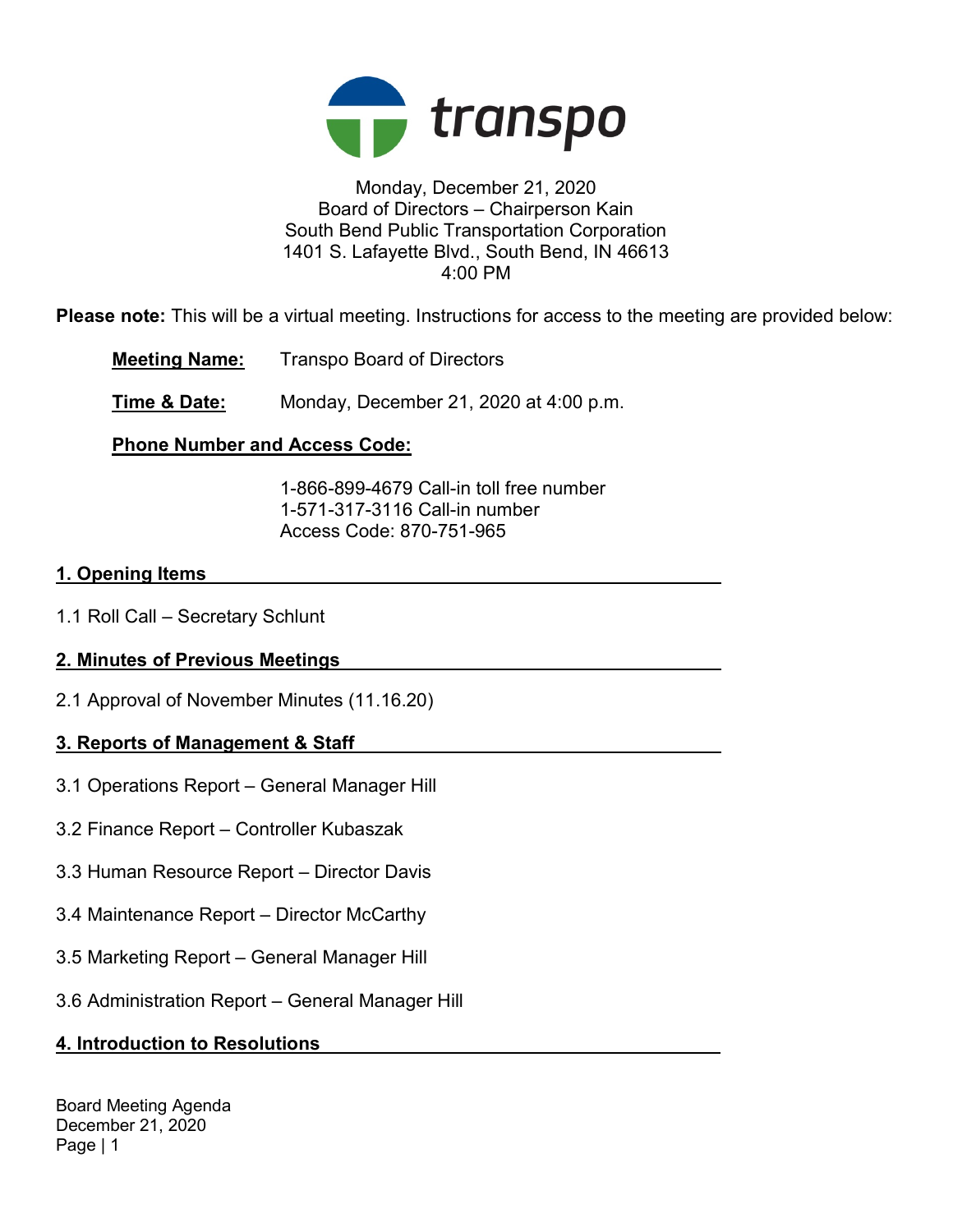

### Monday, December 21, 2020 Board of Directors – Chairperson Kain South Bend Public Transportation Corporation 1401 S. Lafayette Blvd., South Bend, IN 46613 4:00 PM

Please note: This will be a virtual meeting. Instructions for access to the meeting are provided below:

Meeting Name: Transpo Board of Directors

**Time & Date:** Monday, December 21, 2020 at 4:00 p.m.

## Phone Number and Access Code:

 1-866-899-4679 Call-in toll free number 1-571-317-3116 Call-in number Access Code: 870-751-965

### 1. Opening Items

1.1 Roll Call – Secretary Schlunt

## 2. Minutes of Previous Meetings

2.1 Approval of November Minutes (11.16.20)

## 3. Reports of Management & Staff

- 3.1 Operations Report General Manager Hill
- 3.2 Finance Report Controller Kubaszak
- 3.3 Human Resource Report Director Davis
- 3.4 Maintenance Report Director McCarthy
- 3.5 Marketing Report General Manager Hill
- 3.6 Administration Report General Manager Hill

## 4. Introduction to Resolutions

Board Meeting Agenda December 21, 2020 Page | 1